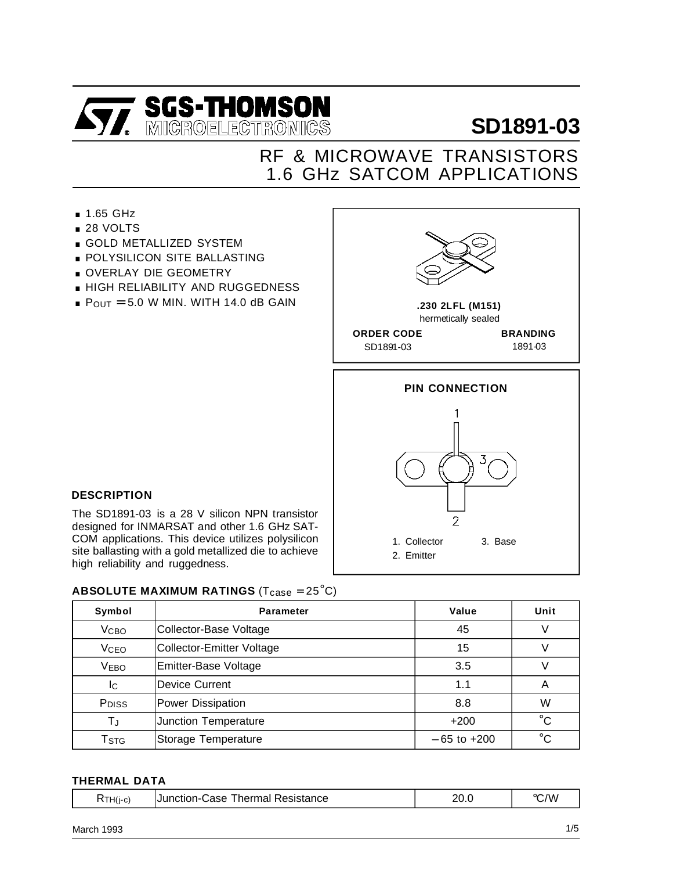

## 1.6 GHz SATCOM APPLICATIONS RF & MICROWAVE TRANSISTORS

- **1.65 GHz**
- 28 VOLTS
- **GOLD METALLIZED SYSTEM**
- 26 VOLTS<br>■ GOLD METALLIZED SYSTEM<br>■ POLYSILICON SITE BALLASTING ■ GOLD METALLIZED STSTE<br>■ POLYSILICON SITE BALLA<br>■ OVERLAY DIE GEOMETRY
- 
- **.** OVERLAY DIE GEOMETRY<br>• HIGH RELIABILITY AND RUGGEDNESS
- $P_{OUT} = 5.0$  W MIN. WITH 14.0 dB GAIN



1. Collector 3. Base

2. Emitter

#### **DESCRIPTION**

The SD1891-03 is a 28 V silicon NPN transistor designed for INMARSAT and other 1.6 GHz SAT-COM applications. This device utilizes polysilicon site ballasting with a gold metallized die to achieve high reliability and ruggedness.

#### **ABSOLUTE MAXIMUM RATINGS** (T<sub>case</sub> = 25<sup>°</sup>C)

| Symbol                    | <b>Parameter</b>               | Value           | Unit         |  |
|---------------------------|--------------------------------|-----------------|--------------|--|
| <b>V<sub>CBO</sub></b>    | Collector-Base Voltage         | 45              | V            |  |
| <b>V<sub>CEO</sub></b>    | Collector-Emitter Voltage      | 15              | V            |  |
| <b>VEBO</b>               | Emitter-Base Voltage           | 3.5             | V            |  |
| Ic                        | <b>Device Current</b>          | 1.1             | Α            |  |
| P <sub>DISS</sub>         | <b>Power Dissipation</b>       | 8.8             | W            |  |
| TJ                        | Junction Temperature<br>$+200$ |                 | $^{\circ}C$  |  |
| $\mathsf{T}_{\text{STG}}$ | Storage Temperature            | $-65$ to $+200$ | $^{\circ}$ C |  |

#### **THERMAL DATA**

| /W<br>$\circ$<br>nr<br>Resistance<br>hermal<br>∍Junction-C<br>∴ase<br>$\cdots$<br>⊣ H(j-c)<br>◡<br>- U - U |
|------------------------------------------------------------------------------------------------------------|
|------------------------------------------------------------------------------------------------------------|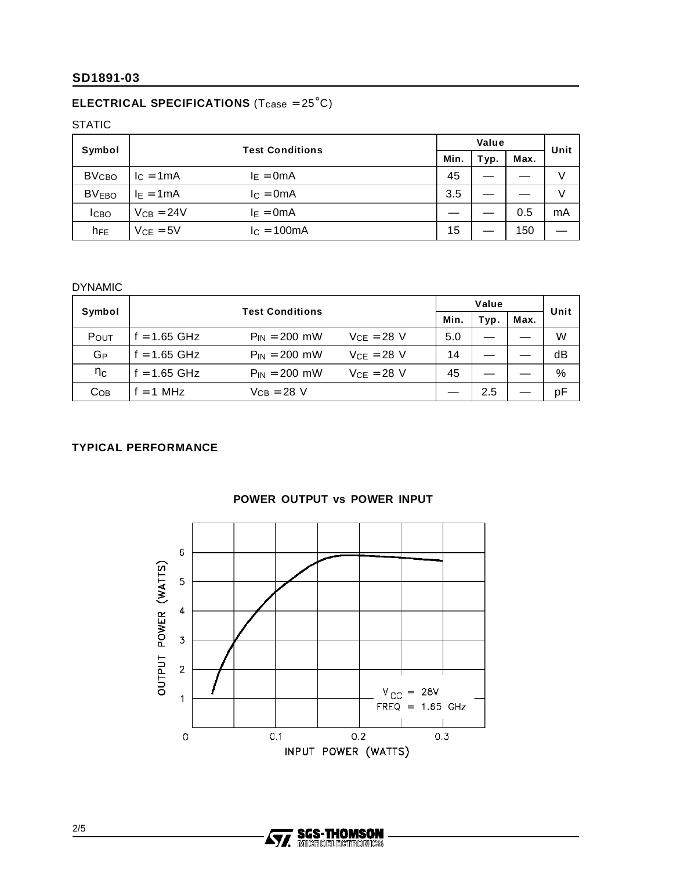## **ELECTRICAL SPECIFICATIONS** (T<sub>case</sub> = 25<sup>°</sup>C)

STATIC

| Symbol                  | <b>Test Conditions</b> | Value        |      |      | Unit |     |    |
|-------------------------|------------------------|--------------|------|------|------|-----|----|
|                         |                        | Min.         | Typ. | Max. |      |     |    |
| <b>BV<sub>CBO</sub></b> | $IC = 1mA$             | $I_E = 0mA$  |      | 45   |      |     |    |
| <b>BVEBO</b>            | $I_E = 1mA$            | $I_c = 0mA$  |      | 3.5  |      |     |    |
| <b>I</b> CBO            | $V_{CB} = 24V$         | $I_E = 0mA$  |      |      |      | 0.5 | mA |
| $h_{FE}$                | $V_{CE} = 5V$          | $IC = 100mA$ |      | 15   |      | 150 |    |

### DYNAMIC

| Symbol          | <b>Test Conditions</b> |                   | Value           |      |      | Unit |      |
|-----------------|------------------------|-------------------|-----------------|------|------|------|------|
|                 |                        |                   |                 | Min. | Typ. | Max. |      |
| POUT            | $f = 1.65$ GHz         | $P_{IN} = 200$ mW | $VCF = 28$ V    | 5.0  |      |      | W    |
| GP              | f = 1.65 GHz           | $P_{IN} = 200$ mW | $V_{CE} = 28$ V | 14   |      |      | dB   |
| ηc              | f = 1.65 GHz           | $P_{IN} = 200$ mW | $V_{CE} = 28$ V | 45   |      |      | $\%$ |
| Co <sub>B</sub> | $= 1$ MHz              | Vcв = 28 V        |                 |      | 2.5  |      | pF   |

## **TYPICAL PERFORMANCE**



#### **POWER OUTPUT vs POWER INPUT**

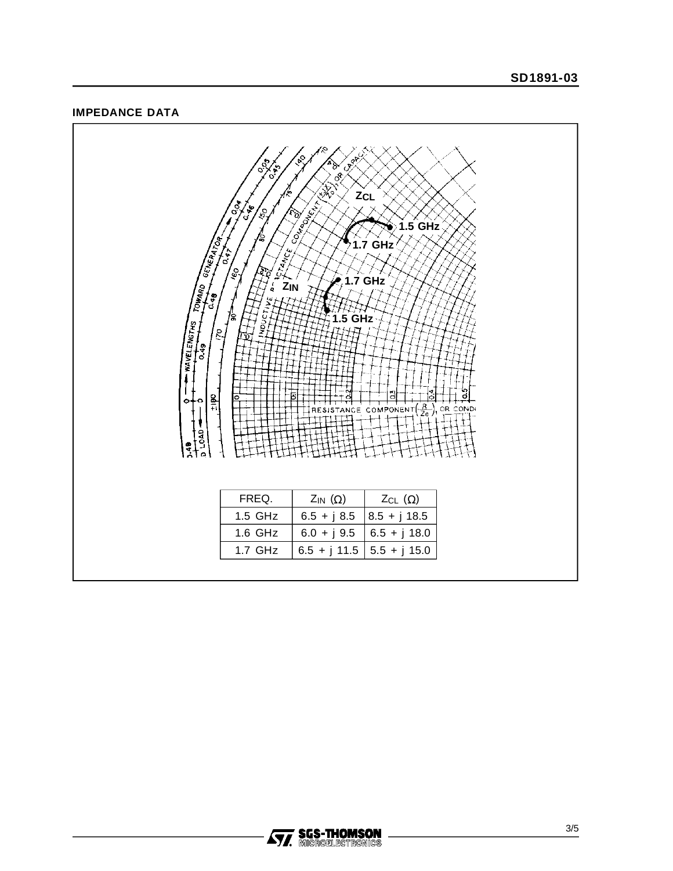#### **IMPEDANCE DATA**



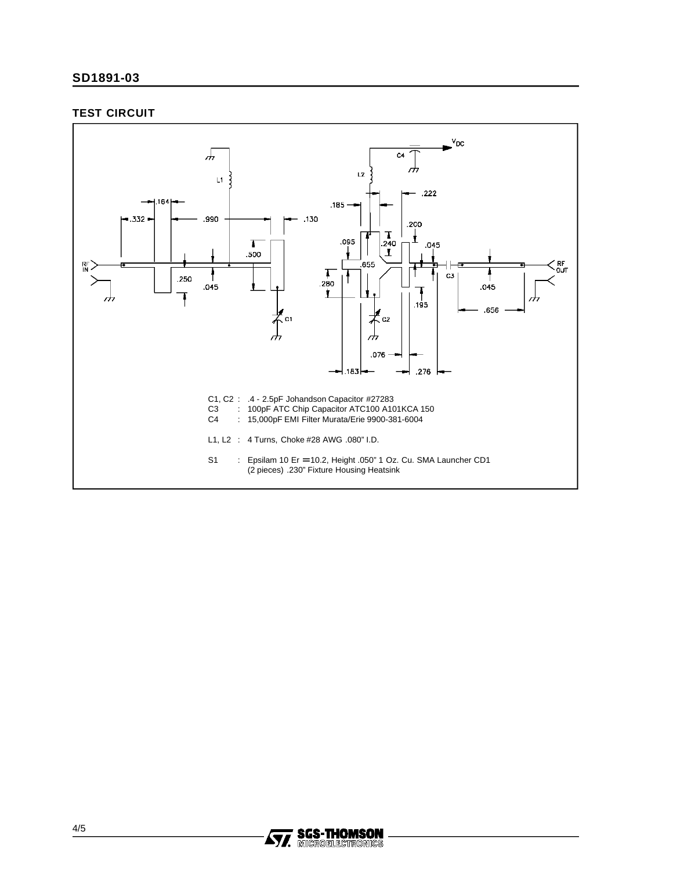#### **TEST CIRCUIT**